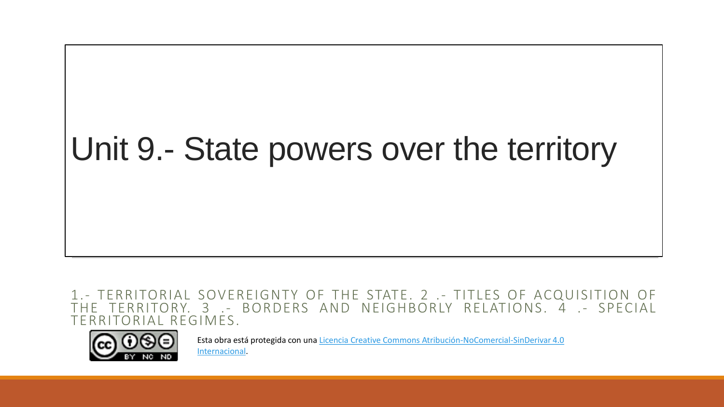# Unit 9.- State powers over the territory

1.- TERRITORIAL SOVEREIGNTY OF THE STATE. 2 .- TITLES OF ACQUISITION OF THE TERRITORY. 3 .- BORDERS AND NEIGHBORLY RELATIONS. 4 .- SPECIAL TERRITORIAL REGIMES.



Esta obra está protegida con una Licencia Creative Commons [Atribución-NoComercial-SinDerivar](https://creativecommons.org/licenses/by-nc-nd/4.0/) 4.0 Internacional.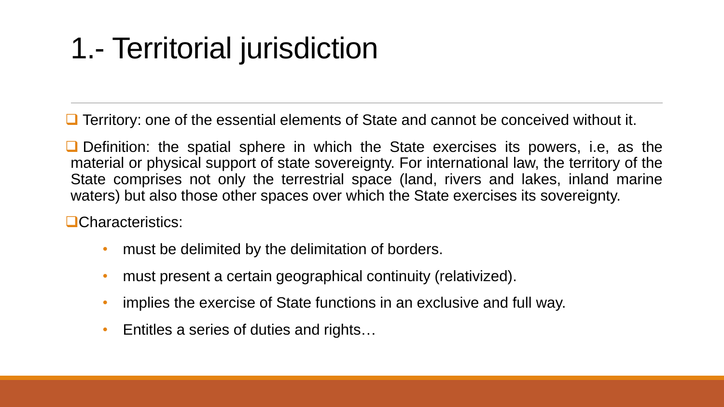# 1.- Territorial jurisdiction

❑ Territory: one of the essential elements of State and cannot be conceived without it.

■ Definition: the spatial sphere in which the State exercises its powers, i.e, as the material or physical support of state sovereignty. For international law, the territory of the State comprises not only the terrestrial space (land, rivers and lakes, inland marine waters) but also those other spaces over which the State exercises its sovereignty.

❑Characteristics:

- must be delimited by the delimitation of borders.
- must present a certain geographical continuity (relativized).
- implies the exercise of State functions in an exclusive and full way.
- Entitles a series of duties and rights…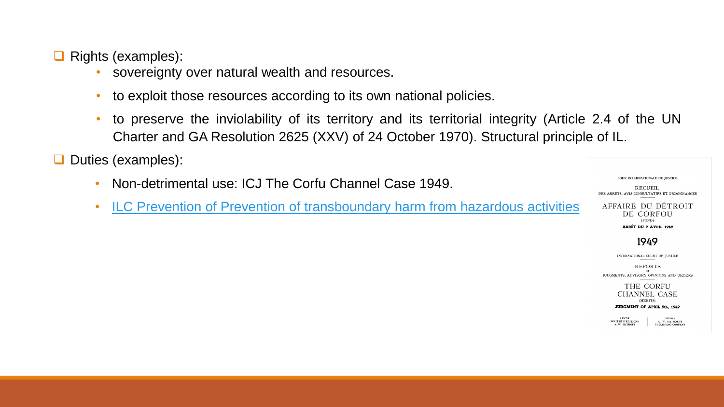❑ Rights (examples):

- sovereignty over natural wealth and resources.
- to exploit those resources according to its own national policies.
- to preserve the inviolability of its territory and its territorial integrity (Article 2.4 of the UN Charter and GA Resolution 2625 (XXV) of 24 October 1970). Structural principle of IL.

❑ Duties (examples):

- Non-detrimental use: ICJ The Corfu Channel Case 1949.
- ILC Prevention of Prevention of [transboundary](https://documents-dds-ny.un.org/doc/UNDOC/GEN/N07/467/85/PDF/N0746785.pdf?OpenElement) harm from hazardous activities

**RECUEIL** DES ARRÊTS, AVIS CONSULTATIFS ET ORDONNANCES

COUR INTERNATIONALE DE JUSTICE

AFFAIRE DU DÉTROIT DE CORFOU (FOND) **ARRÊT DU 9 AVEIL 1949** 

1949

INTERNATIONAL COURT OF JUSTICE

**REPORTS** JUDGMENTS, ADVISORY OPINIONS AND ORDERS

> THE CORFU **CHANNEL CASE** (MERITS)

JUDGMENT OF APRIL 9th, 1949

**TRYDES** 

**LEVDE** SOCIÉTÉ D'ÉDITIONS<br>A. W. SIJTHOFF A. W. SIJTHOFF" PUBLISHING COMPANY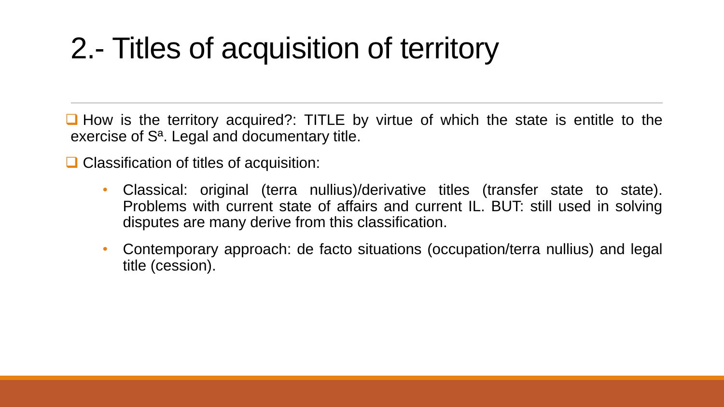# 2.- Titles of acquisition of territory

■ How is the territory acquired?: TITLE by virtue of which the state is entitle to the exercise of Sª. Legal and documentary title.

❑ Classification of titles of acquisition:

- Classical: original (terra nullius)/derivative titles (transfer state to state). Problems with current state of affairs and current IL. BUT: still used in solving disputes are many derive from this classification.
- Contemporary approach: de facto situations (occupation/terra nullius) and legal title (cession).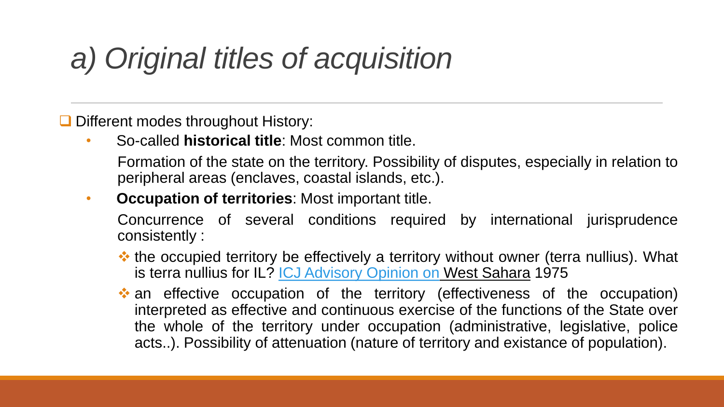## *a) Original titles of acquisition*

❑ Different modes throughout History:

• So-called **historical title**: Most common title.

Formation of the state on the territory. Possibility of disputes, especially in relation to peripheral areas (enclaves, coastal islands, etc.).

• **Occupation of territories**: Most important title.

Concurrence of several conditions required by international jurisprudence consistently :

- ❖ the occupied territory be effectively a territory without owner (terra nullius). What is terra nullius for IL? **ICJ [Advisory](https://www.icj-cij.org/public/files/case-related/61/061-19751016-ADV-01-00-EN.pdf) Opinion on West Sahara 1975**
- ❖ an effective occupation of the territory (effectiveness of the occupation) interpreted as effective and continuous exercise of the functions of the State over the whole of the territory under occupation (administrative, legislative, police acts..). Possibility of attenuation (nature of territory and existance of population).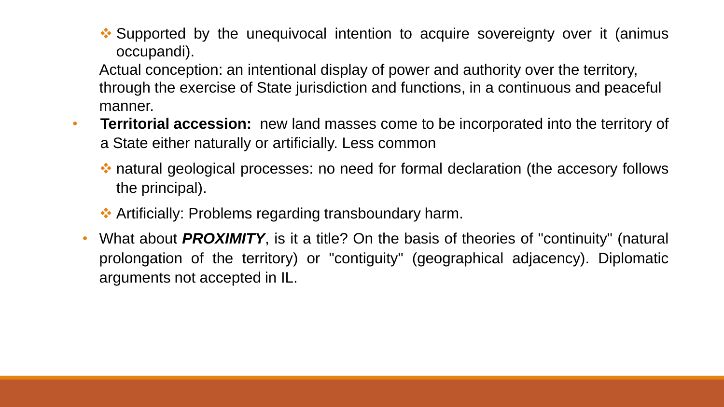❖ Supported by the unequivocal intention to acquire sovereignty over it (animus occupandi).

Actual conception: an intentional display of power and authority over the territory, through the exercise of State jurisdiction and functions, in a continuous and peaceful manner.

- **Territorial accession:** new land masses come to be incorporated into the territory of a State either naturally or artificially. Less common
	- ❖ natural geological processes: no need for formal declaration (the accesory follows the principal).
	- ❖ Artificially: Problems regarding transboundary harm.
	- What about *PROXIMITY*, is it a title? On the basis of theories of "continuity" (natural prolongation of the territory) or "contiguity" (geographical adjacency). Diplomatic arguments not accepted in IL.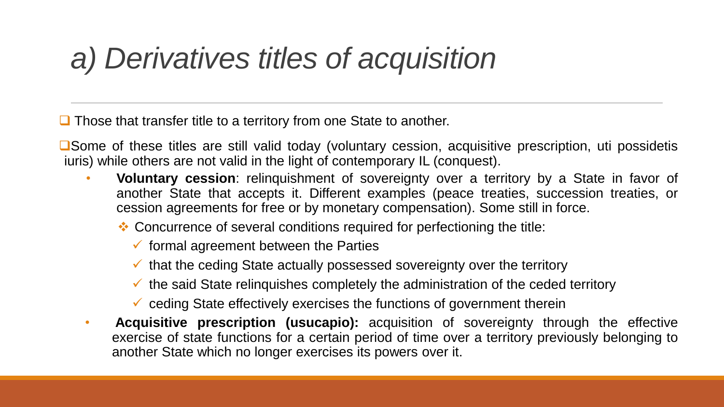### *a) Derivatives titles of acquisition*

■ Those that transfer title to a territory from one State to another.

❑Some of these titles are still valid today (voluntary cession, acquisitive prescription, uti possidetis iuris) while others are not valid in the light of contemporary IL (conquest).

- **Voluntary cession**: relinquishment of sovereignty over a territory by a State in favor of another State that accepts it. Different examples (peace treaties, succession treaties, or cession agreements for free or by monetary compensation). Some still in force.
	- ❖ Concurrence of several conditions required for perfectioning the title:
		- $\checkmark$  formal agreement between the Parties
		- $\checkmark$  that the ceding State actually possessed sovereignty over the territory
		- $\checkmark$  the said State relinguishes completely the administration of the ceded territory
		- $\checkmark$  ceding State effectively exercises the functions of government therein
- **Acquisitive prescription (usucapio):** acquisition of sovereignty through the effective exercise of state functions for a certain period of time over a territory previously belonging to another State which no longer exercises its powers over it.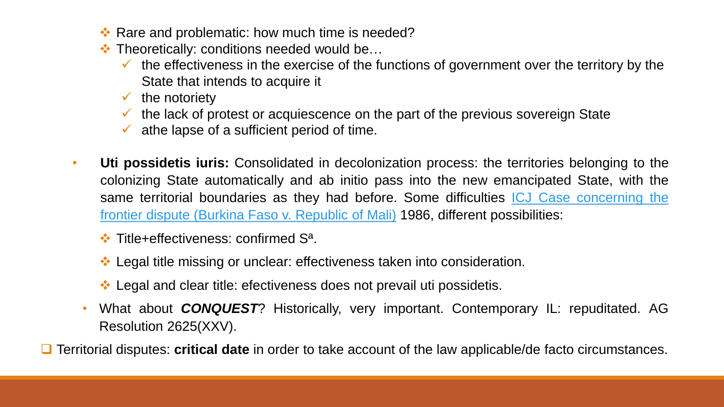- ❖ Rare and problematic: how much time is needed?
- ❖ Theoretically: conditions needed would be…
	- $\checkmark$  the effectiveness in the exercise of the functions of government over the territory by the State that intends to acquire it
	- $\checkmark$  the notoriety
	- $\checkmark$  the lack of protest or acquiescence on the part of the previous sovereign State
	- $\checkmark$  athe lapse of a sufficient period of time.
- **Uti possidetis iuris:** Consolidated in decolonization process: the territories belonging to the colonizing State automatically and ab initio pass into the new emancipated State, with the same territorial boundaries as they had before. Some difficulties ICJ Case concerning the frontier dispute (Burkina Faso v. Republic of Mali) 1986, different [possibilities:](https://www.icj-cij.org/public/files/case-related/69/069-19861222-JUD-01-00-EN.pdf)
	- ❖ Title+effectiveness: confirmed Sª.
	- ❖ Legal title missing or unclear: effectiveness taken into consideration.
	- ❖ Legal and clear title: efectiveness does not prevail uti possidetis.
	- What about *CONQUEST*? Historically, very important. Contemporary IL: repuditated. AG Resolution 2625(XXV).
- ❑ Territorial disputes: **critical date** in order to take account of the law applicable/de facto circumstances.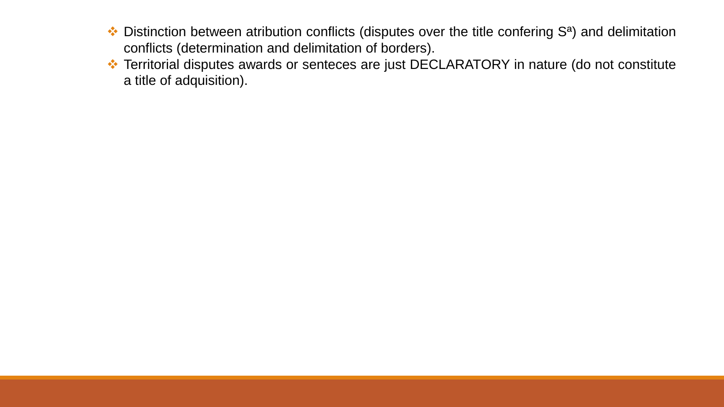- ❖ Distinction between atribution conflicts (disputes over the title confering Sª) and delimitation conflicts (determination and delimitation of borders).
- ❖ Territorial disputes awards or senteces are just DECLARATORY in nature (do not constitute a title of adquisition).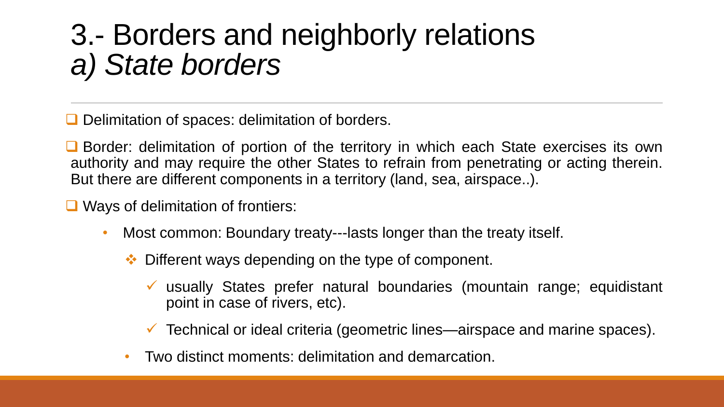#### 3.- Borders and neighborly relations *a) State borders*

■ Delimitation of spaces: delimitation of borders.

■ Border: delimitation of portion of the territory in which each State exercises its own authority and may require the other States to refrain from penetrating or acting therein. But there are different components in a territory (land, sea, airspace..).

❑ Ways of delimitation of frontiers:

- Most common: Boundary treaty---lasts longer than the treaty itself.
	- ❖ Different ways depending on the type of component.
		- ✓ usually States prefer natural boundaries (mountain range; equidistant point in case of rivers, etc).
		- $\checkmark$  Technical or ideal criteria (geometric lines—airspace and marine spaces).
	- Two distinct moments: delimitation and demarcation.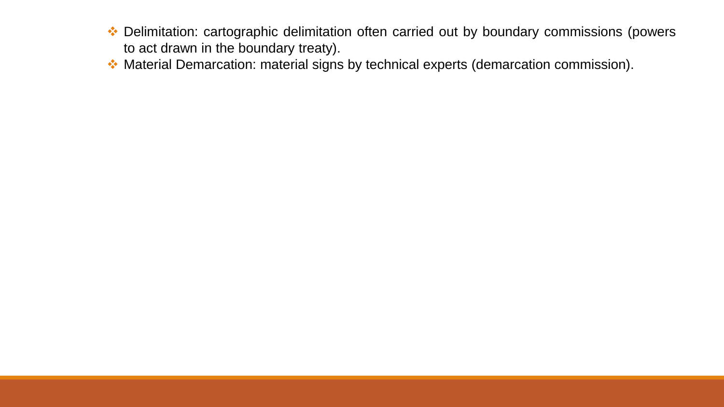- ❖ Delimitation: cartographic delimitation often carried out by boundary commissions (powers to act drawn in the boundary treaty).
- ❖ Material Demarcation: material signs by technical experts (demarcation commission).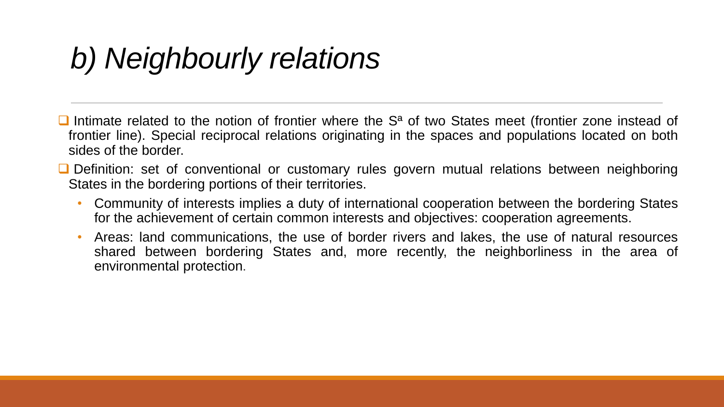### *b) Neighbourly relations*

- Intimate related to the notion of frontier where the S<sup>a</sup> of two States meet (frontier zone instead of frontier line). Special reciprocal relations originating in the spaces and populations located on both sides of the border.
- Definition: set of conventional or customary rules govern mutual relations between neighboring States in the bordering portions of their territories.
	- Community of interests implies a duty of international cooperation between the bordering States for the achievement of certain common interests and objectives: cooperation agreements.
	- Areas: land communications, the use of border rivers and lakes, the use of natural resources shared between bordering States and, more recently, the neighborliness in the area of environmental protection.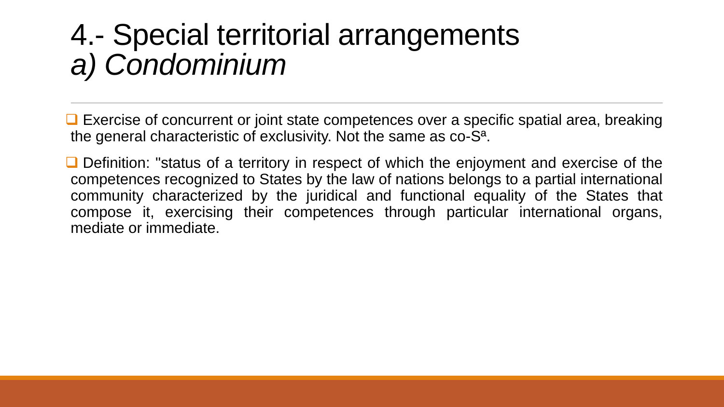#### 4.- Special territorial arrangements *a) Condominium*

■ Exercise of concurrent or joint state competences over a specific spatial area, breaking the general characteristic of exclusivity. Not the same as co-Sª.

■ Definition: "status of a territory in respect of which the enjoyment and exercise of the competences recognized to States by the law of nations belongs to a partial international community characterized by the juridical and functional equality of the States that compose it, exercising their competences through particular international organs, mediate or immediate.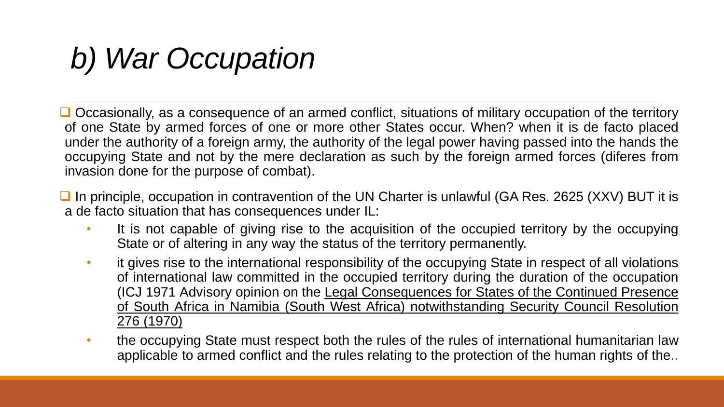## *b) War Occupation*

■ Occasionally, as a consequence of an armed conflict, situations of military occupation of the territory of one State by armed forces of one or more other States occur. When? when it is de facto placed under the authority of a foreign army, the authority of the legal power having passed into the hands the occupying State and not by the mere declaration as such by the foreign armed forces (diferes from invasion done for the purpose of combat).

- In principle, occupation in contravention of the UN Charter is unlawful (GA Res. 2625 (XXV) BUT it is a de facto situation that has consequences under IL:
	- It is not capable of giving rise to the acquisition of the occupied territory by the occupying State or of altering in any way the status of the territory permanently.
	- it gives rise to the international responsibility of the occupying State in respect of all violations of international law committed in the occupied territory during the duration of the occupation (ICJ 1971 Advisory opinion on the Legal Consequences for States of the Continued Presence of South Africa in Namibia (South West Africa) [notwithstanding](https://www.icj-cij.org/en/case/53) Security Council Resolution 276 (1970)
	- the occupying State must respect both the rules of the rules of international humanitarian law applicable to armed conflict and the rules relating to the protection of the human rights of the..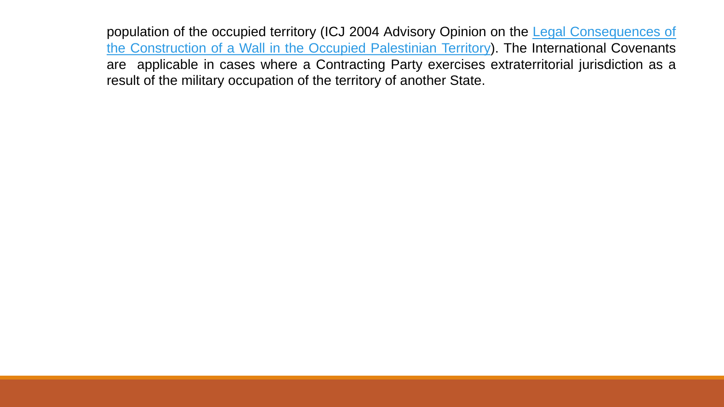population of the occupied territory (ICJ 2004 Advisory Opinion on the Legal [Consequences](https://www.icj-cij.org/en/case/131) of the Construction of a Wall in the Occupied Palestinian Territory). The International Covenants are applicable in cases where a Contracting Party exercises extraterritorial jurisdiction as a result of the military occupation of the territory of another State.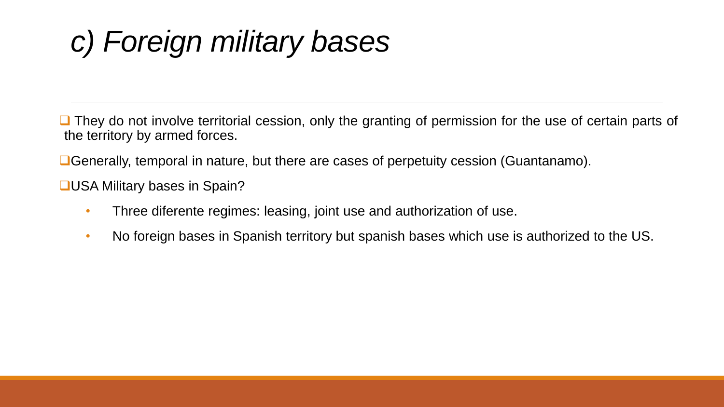# *c) Foreign military bases*

■ They do not involve territorial cession, only the granting of permission for the use of certain parts of the territory by armed forces.

■Generally, temporal in nature, but there are cases of perpetuity cession (Guantanamo).

❑USA Military bases in Spain?

- Three diferente regimes: leasing, joint use and authorization of use.
- No foreign bases in Spanish territory but spanish bases which use is authorized to the US.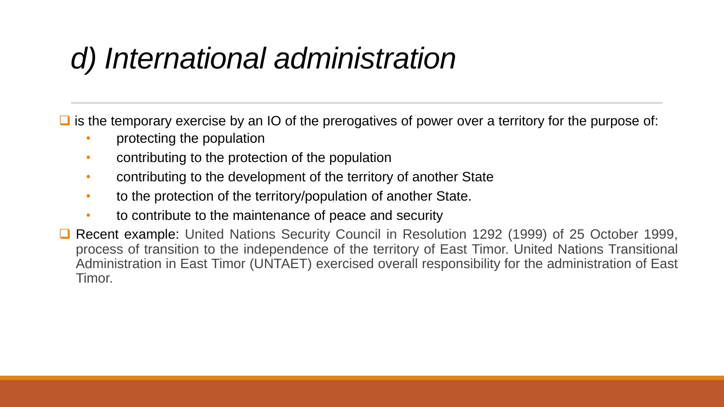#### *d) International administration*

 $\Box$  is the temporary exercise by an IO of the prerogatives of power over a territory for the purpose of:

- protecting the population
- contributing to the protection of the population
- contributing to the development of the territory of another State
- to the protection of the territory/population of another State.
- to contribute to the maintenance of peace and security
- ❑ Recent example: United Nations Security Council in Resolution 1292 (1999) of 25 October 1999, process of transition to the independence of the territory of East Timor. United Nations Transitional Administration in East Timor (UNTAET) exercised overall responsibility for the administration of East Timor.